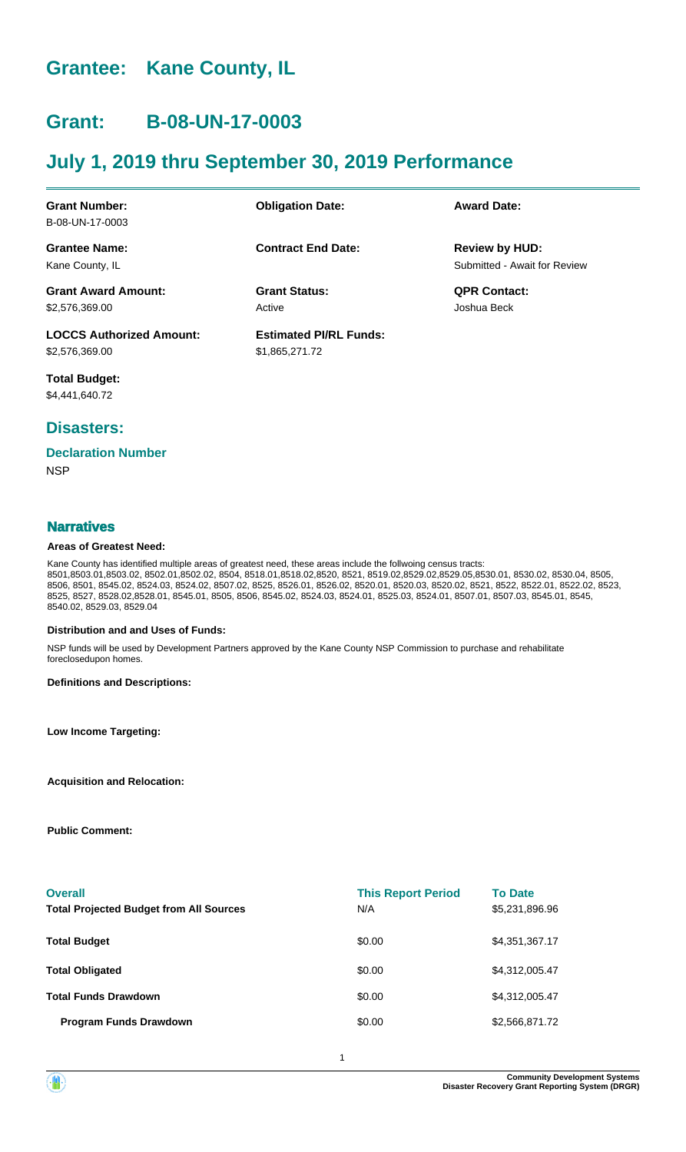# **Grantee: Kane County, IL**

# **Grant: B-08-UN-17-0003**

# **July 1, 2019 thru September 30, 2019 Performance**

| <b>Grant Number:</b>            | <b>Obligation Date:</b>       | <b>Award Date:</b>           |
|---------------------------------|-------------------------------|------------------------------|
| B-08-UN-17-0003                 |                               |                              |
| <b>Grantee Name:</b>            | <b>Contract End Date:</b>     | <b>Review by HUD:</b>        |
| Kane County, IL                 |                               | Submitted - Await for Review |
| <b>Grant Award Amount:</b>      | <b>Grant Status:</b>          | <b>QPR Contact:</b>          |
| \$2,576,369.00                  | Active                        | Joshua Beck                  |
| <b>LOCCS Authorized Amount:</b> | <b>Estimated PI/RL Funds:</b> |                              |
| \$2,576,369.00                  | \$1,865,271.72                |                              |

**Total Budget:** \$4,441,640.72

# **Disasters:**

#### **Declaration Number**

**NSP** 

### **Narratives**

#### **Areas of Greatest Need:**

Kane County has identified multiple areas of greatest need, these areas include the follwoing census tracts: 8501,8503.01,8503.02, 8502.01,8502.02, 8504, 8518.01,8518.02,8520, 8521, 8519.02,8529.02,8529.05,8530.01, 8530.02, 8530.04, 8505, 8506, 8501, 8545.02, 8524.03, 8524.02, 8507.02, 8525, 8526.01, 8526.02, 8520.01, 8520.03, 8520.02, 8521, 8522, 8522.01, 8522.02, 8523, 8525, 8527, 8528.02,8528.01, 8545.01, 8505, 8506, 8545.02, 8524.03, 8524.01, 8525.03, 8524.01, 8507.01, 8507.03, 8545.01, 8545, 8540.02, 8529.03, 8529.04

#### **Distribution and and Uses of Funds:**

NSP funds will be used by Development Partners approved by the Kane County NSP Commission to purchase and rehabilitate foreclosedupon homes.

**Definitions and Descriptions:**

**Low Income Targeting:**

**Acquisition and Relocation:**

**Public Comment:**

| <b>Overall</b><br><b>Total Projected Budget from All Sources</b> | <b>This Report Period</b><br>N/A | <b>To Date</b><br>\$5,231,896.96 |
|------------------------------------------------------------------|----------------------------------|----------------------------------|
| <b>Total Budget</b>                                              | \$0.00                           | \$4,351,367.17                   |
| <b>Total Obligated</b>                                           | \$0.00                           | \$4,312,005.47                   |
| <b>Total Funds Drawdown</b>                                      | \$0.00                           | \$4,312,005.47                   |
| <b>Program Funds Drawdown</b>                                    | \$0.00                           | \$2,566,871.72                   |

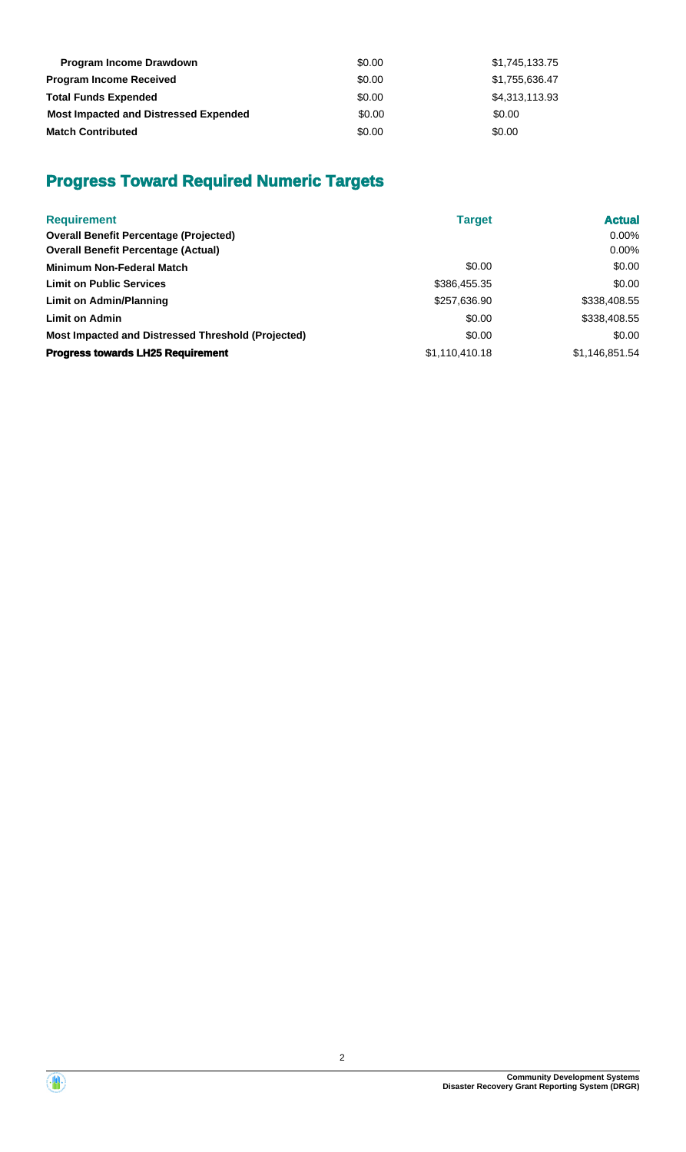| <b>Program Income Drawdown</b>               | \$0.00 | \$1,745,133.75 |
|----------------------------------------------|--------|----------------|
| <b>Program Income Received</b>               | \$0.00 | \$1,755,636.47 |
| <b>Total Funds Expended</b>                  | \$0.00 | \$4,313,113.93 |
| <b>Most Impacted and Distressed Expended</b> | \$0.00 | \$0.00         |
| <b>Match Contributed</b>                     | \$0.00 | \$0.00         |

# **Progress Toward Required Numeric Targets**

| <b>Requirement</b>                                 | <b>Target</b>  | <b>Actual</b>  |
|----------------------------------------------------|----------------|----------------|
| <b>Overall Benefit Percentage (Projected)</b>      |                | $0.00\%$       |
| <b>Overall Benefit Percentage (Actual)</b>         |                | $0.00\%$       |
| <b>Minimum Non-Federal Match</b>                   | \$0.00         | \$0.00         |
| <b>Limit on Public Services</b>                    | \$386,455.35   | \$0.00         |
| Limit on Admin/Planning                            | \$257,636.90   | \$338,408.55   |
| <b>Limit on Admin</b>                              | \$0.00         | \$338,408.55   |
| Most Impacted and Distressed Threshold (Projected) | \$0.00         | \$0.00         |
| <b>Progress towards LH25 Requirement</b>           | \$1,110,410.18 | \$1,146,851.54 |

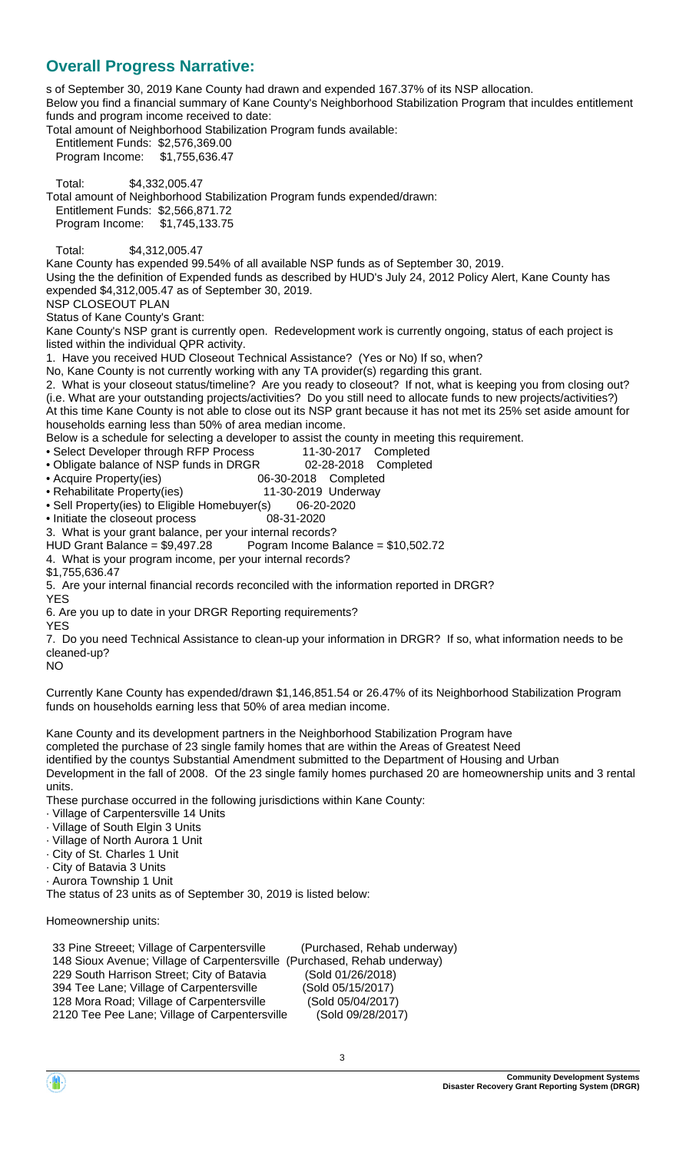# **Overall Progress Narrative:**

s of September 30, 2019 Kane County had drawn and expended 167.37% of its NSP allocation. Below you find a financial summary of Kane County's Neighborhood Stabilization Program that inculdes entitlement funds and program income received to date: Total amount of Neighborhood Stabilization Program funds available: Entitlement Funds: \$2,576,369.00 Program Income: \$1,755,636.47 Total: \$4,332,005.47 Total amount of Neighborhood Stabilization Program funds expended/drawn: Entitlement Funds: \$2,566,871.72 Program Income: \$1,745,133.75 Total: \$4,312,005.47 Kane County has expended 99.54% of all available NSP funds as of September 30, 2019. Using the the definition of Expended funds as described by HUD's July 24, 2012 Policy Alert, Kane County has expended \$4,312,005.47 as of September 30, 2019. NSP CLOSEOUT PLAN Status of Kane County's Grant: Kane County's NSP grant is currently open. Redevelopment work is currently ongoing, status of each project is listed within the individual QPR activity. 1. Have you received HUD Closeout Technical Assistance? (Yes or No) If so, when? No, Kane County is not currently working with any TA provider(s) regarding this grant. 2. What is your closeout status/timeline? Are you ready to closeout? If not, what is keeping you from closing out? (i.e. What are your outstanding projects/activities? Do you still need to allocate funds to new projects/activities?) At this time Kane County is not able to close out its NSP grant because it has not met its 25% set aside amount for households earning less than 50% of area median income. Below is a schedule for selecting a developer to assist the county in meeting this requirement. • Select Developer through RFP Process 11-30-2017 Completed • Obligate balance of NSP funds in DRGR 02-28-2018 Completed • Acquire Property(ies) 06-30-2018 Completed<br>• Rehabilitate Property(ies) 11-30-2019 Underway • Rehabilitate Property(ies) • Sell Property(ies) to Eligible Homebuyer(s) 06-20-2020 • Initiate the closeout process 08-31-2020 3. What is your grant balance, per your internal records?<br>HUD Grant Balance = \$9,497.28 Pogram Income E Pogram Income Balance =  $$10,502.72$ 4. What is your program income, per your internal records? \$1,755,636.47 5. Are your internal financial records reconciled with the information reported in DRGR? YES 6. Are you up to date in your DRGR Reporting requirements? YES 7. Do you need Technical Assistance to clean-up your information in DRGR? If so, what information needs to be cleaned-up?  $N<sub>O</sub>$ Currently Kane County has expended/drawn \$1,146,851.54 or 26.47% of its Neighborhood Stabilization Program funds on households earning less that 50% of area median income. Kane County and its development partners in the Neighborhood Stabilization Program have completed the purchase of 23 single family homes that are within the Areas of Greatest Need identified by the countys Substantial Amendment submitted to the Department of Housing and Urban Development in the fall of 2008. Of the 23 single family homes purchased 20 are homeownership units and 3 rental units.

These purchase occurred in the following jurisdictions within Kane County:

- · Village of Carpentersville 14 Units
- · Village of South Elgin 3 Units
- · Village of North Aurora 1 Unit
- · City of St. Charles 1 Unit
- · City of Batavia 3 Units
- · Aurora Township 1 Unit

The status of 23 units as of September 30, 2019 is listed below:

Homeownership units:

 33 Pine Streeet; Village of Carpentersville (Purchased, Rehab underway) 148 Sioux Avenue; Village of Carpentersville (Purchased, Rehab underway) 229 South Harrison Street; City of Batavia (Sold 01/26/2018) 394 Tee Lane; Village of Carpentersville (Sold 05/15/2017) 128 Mora Road; Village of Carpentersville (Sold 05/04/2017) 2120 Tee Pee Lane; Village of Carpentersville (Sold 09/28/2017)

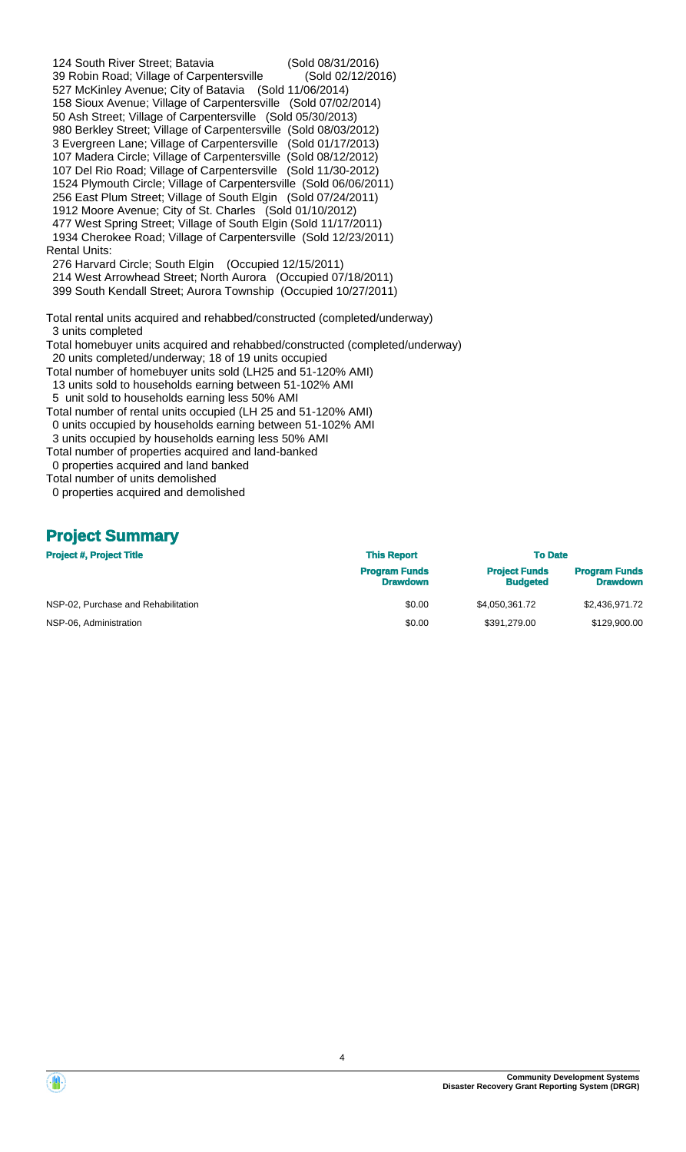124 South River Street; Batavia (Sold 08/31/2016) 39 Robin Road; Village of Carpentersville (Sold 02/12/2016) 527 McKinley Avenue; City of Batavia (Sold 11/06/2014) 158 Sioux Avenue; Village of Carpentersville (Sold 07/02/2014) 50 Ash Street; Village of Carpentersville (Sold 05/30/2013) 980 Berkley Street; Village of Carpentersville (Sold 08/03/2012) 3 Evergreen Lane; Village of Carpentersville (Sold 01/17/2013) 107 Madera Circle; Village of Carpentersville (Sold 08/12/2012) 107 Del Rio Road; Village of Carpentersville (Sold 11/30-2012) 1524 Plymouth Circle; Village of Carpentersville (Sold 06/06/2011) 256 East Plum Street; Village of South Elgin (Sold 07/24/2011) 1912 Moore Avenue; City of St. Charles (Sold 01/10/2012) 477 West Spring Street; Village of South Elgin (Sold 11/17/2011) 1934 Cherokee Road; Village of Carpentersville (Sold 12/23/2011) Rental Units: 276 Harvard Circle; South Elgin (Occupied 12/15/2011) 214 West Arrowhead Street; North Aurora (Occupied 07/18/2011) 399 South Kendall Street; Aurora Township (Occupied 10/27/2011) Total rental units acquired and rehabbed/constructed (completed/underway) 3 units completed Total homebuyer units acquired and rehabbed/constructed (completed/underway) 20 units completed/underway; 18 of 19 units occupied Total number of homebuyer units sold (LH25 and 51-120% AMI) 13 units sold to households earning between 51-102% AMI 5 unit sold to households earning less 50% AMI Total number of rental units occupied (LH 25 and 51-120% AMI) 0 units occupied by households earning between 51-102% AMI 3 units occupied by households earning less 50% AMI Total number of properties acquired and land-banked 0 properties acquired and land banked Total number of units demolished

0 properties acquired and demolished

## **Project Summary**

| <b>Project #, Project Title</b>     | <b>This Report</b>                      |                                         | <b>To Date</b>                          |  |  |
|-------------------------------------|-----------------------------------------|-----------------------------------------|-----------------------------------------|--|--|
|                                     | <b>Program Funds</b><br><b>Drawdown</b> | <b>Project Funds</b><br><b>Budgeted</b> | <b>Program Funds</b><br><b>Drawdown</b> |  |  |
| NSP-02, Purchase and Rehabilitation | \$0.00                                  | \$4.050.361.72                          | \$2,436,971.72                          |  |  |
| NSP-06, Administration              | \$0.00                                  | \$391.279.00                            | \$129,900.00                            |  |  |

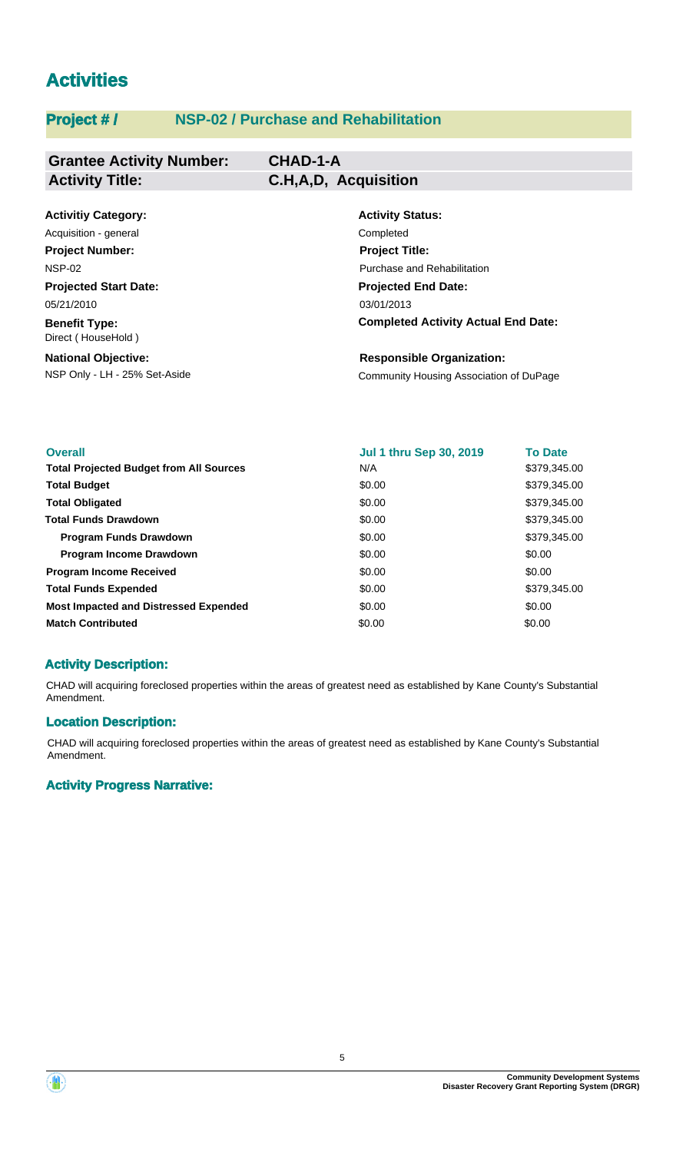# **Activities**

# **Project # / NSP-02 / Purchase and Rehabilitation**

| <b>Grantee Activity Number:</b>            | <b>CHAD-1-A</b>                      |
|--------------------------------------------|--------------------------------------|
| <b>Activity Title:</b>                     | C.H,A,D, Acquisition                 |
|                                            |                                      |
| <b>Activitiy Category:</b>                 | <b>Activity Status:</b>              |
| Acquisition - general                      | Completed                            |
| <b>Project Number:</b>                     | <b>Project Title:</b>                |
| <b>NSP-02</b>                              | Purchase and Rehabilitation          |
| <b>Projected Start Date:</b>               | <b>Projected End Date:</b>           |
| 05/21/2010                                 | 03/01/2013                           |
| <b>Benefit Type:</b><br>Direct (HouseHold) | <b>Completed Activity Actual End</b> |
| <b>National Objective:</b>                 | <b>Responsible Organization:</b>     |

NSP Only - LH - 25% Set-Aside Community Housing Association of DuPage

Date:

| <b>Overall</b>                                 | <b>Jul 1 thru Sep 30, 2019</b> | <b>To Date</b> |
|------------------------------------------------|--------------------------------|----------------|
| <b>Total Projected Budget from All Sources</b> | N/A                            | \$379,345.00   |
| <b>Total Budget</b>                            | \$0.00                         | \$379,345.00   |
| <b>Total Obligated</b>                         | \$0.00                         | \$379,345.00   |
| <b>Total Funds Drawdown</b>                    | \$0.00                         | \$379,345.00   |
| <b>Program Funds Drawdown</b>                  | \$0.00                         | \$379,345.00   |
| <b>Program Income Drawdown</b>                 | \$0.00                         | \$0.00         |
| <b>Program Income Received</b>                 | \$0.00                         | \$0.00         |
| <b>Total Funds Expended</b>                    | \$0.00                         | \$379,345.00   |
| <b>Most Impacted and Distressed Expended</b>   | \$0.00                         | \$0.00         |
| <b>Match Contributed</b>                       | \$0.00                         | \$0.00         |

## **Activity Description:**

CHAD will acquiring foreclosed properties within the areas of greatest need as established by Kane County's Substantial Amendment.

#### **Location Description:**

CHAD will acquiring foreclosed properties within the areas of greatest need as established by Kane County's Substantial Amendment.

#### **Activity Progress Narrative:**

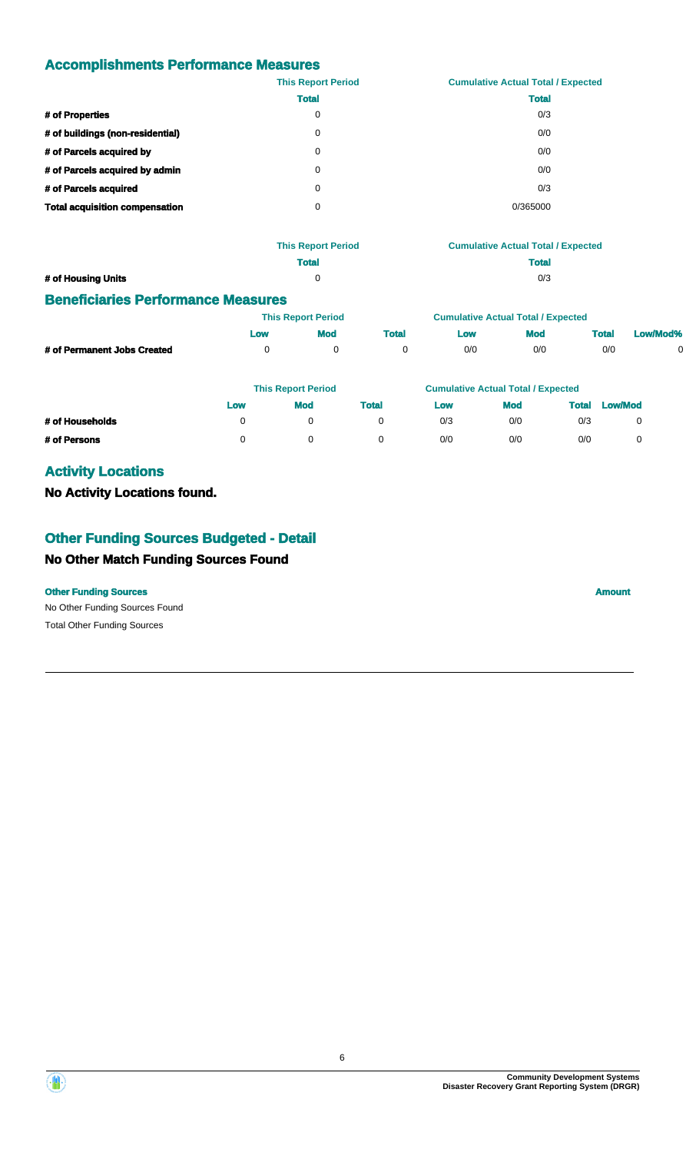# **Accomplishments Performance Measures**

|                                       | <b>This Report Period</b> | <b>Cumulative Actual Total / Expected</b> |
|---------------------------------------|---------------------------|-------------------------------------------|
|                                       | <b>Total</b>              | <b>Total</b>                              |
| # of Properties                       | 0                         | 0/3                                       |
| # of buildings (non-residential)      | 0                         | 0/0                                       |
| # of Parcels acquired by              | 0                         | 0/0                                       |
| # of Parcels acquired by admin        | 0                         | 0/0                                       |
| # of Parcels acquired                 | 0                         | 0/3                                       |
| <b>Total acquisition compensation</b> | 0                         | 0/365000                                  |

|                    | <b>This Report Period</b> | <b>Cumulative Actual Total / Expected</b> |
|--------------------|---------------------------|-------------------------------------------|
|                    | Total                     | <b>Total</b>                              |
| # of Housing Units |                           | 0/3                                       |

## **Beneficiaries Performance Measures**

|                             | <b>This Report Period</b> |     |       | <b>Cumulative Actual Total / Expected</b> |     |              |          |  |
|-----------------------------|---------------------------|-----|-------|-------------------------------------------|-----|--------------|----------|--|
|                             | <b>LOW</b>                | Mod | Total | LOW                                       | Mod | <b>Total</b> | Low/Mod% |  |
| # of Permanent Jobs Created |                           |     |       | 0/0                                       | 0/0 | 0/0          |          |  |

|                 | <b>This Report Period</b> |            |       | <b>Cumulative Actual Total / Expected</b> |            |       |                |
|-----------------|---------------------------|------------|-------|-------------------------------------------|------------|-------|----------------|
|                 | Low                       | <b>Mod</b> | Total | Low                                       | <b>Mod</b> | Total | <b>Low/Mod</b> |
| # of Households |                           |            |       | 0/3                                       | 0/0        | 0/3   |                |
| # of Persons    |                           |            |       | 0/0                                       | 0/0        | 0/0   |                |

# **Activity Locations**

## **No Activity Locations found.**

# **Other Funding Sources Budgeted - Detail**

## **No Other Match Funding Sources Found**

#### **Other Funding Sources Amount Amount Amount Amount Amount Amount**

No Other Funding Sources Found Total Other Funding Sources

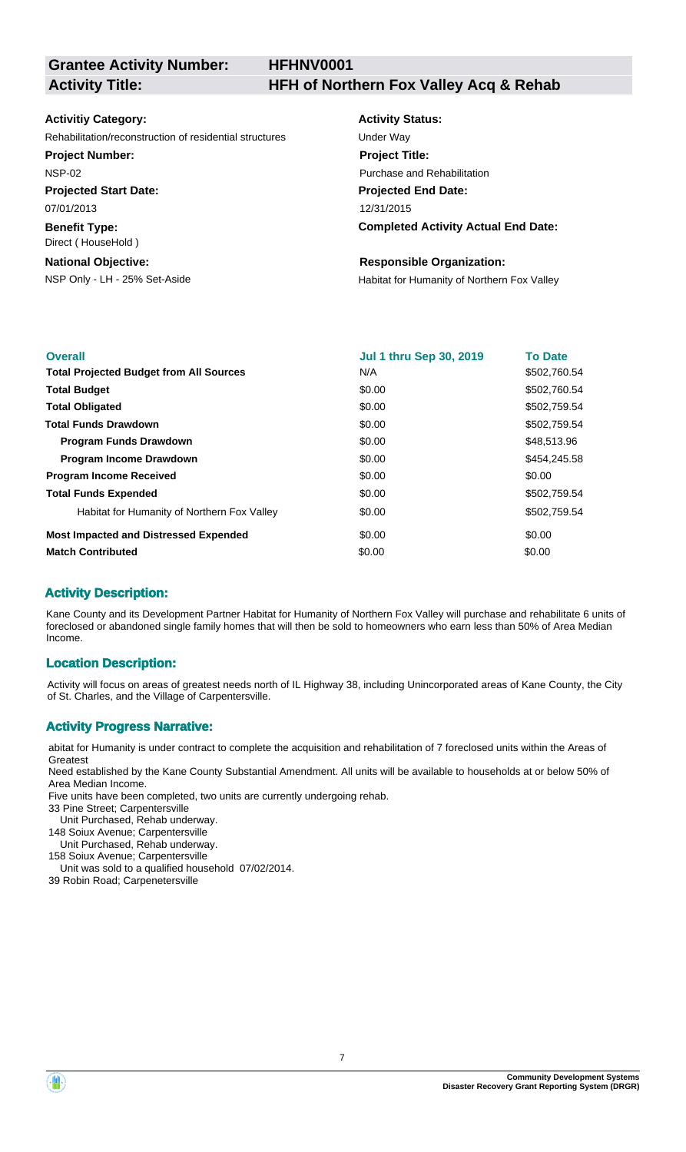**HFHNV0001**

**Activity Title: HFH of Northern Fox Valley Acq & Rehab**

#### **Activitiy Category:**

Rehabilitation/reconstruction of residential structures Under Way

#### **Project Number:**

NSP-02

**Projected Start Date:** 07/01/2013

**Benefit Type:**

Direct ( HouseHold )

#### **National Objective:**

# **Activity Status: Projected End Date: Completed Activity Actual End Date:** 12/31/2015 **Project Title:** Purchase and Rehabilitation

#### **Responsible Organization:**

NSP Only - LH - 25% Set-Aside **Habitat for Humanity of Northern Fox Valley** 

| <b>Overall</b>                                 | <b>Jul 1 thru Sep 30, 2019</b> | <b>To Date</b> |
|------------------------------------------------|--------------------------------|----------------|
| <b>Total Projected Budget from All Sources</b> | N/A                            | \$502,760.54   |
| <b>Total Budget</b>                            | \$0.00                         | \$502,760.54   |
| <b>Total Obligated</b>                         | \$0.00                         | \$502,759.54   |
| <b>Total Funds Drawdown</b>                    | \$0.00                         | \$502,759.54   |
| <b>Program Funds Drawdown</b>                  | \$0.00                         | \$48,513.96    |
| <b>Program Income Drawdown</b>                 | \$0.00                         | \$454,245.58   |
| <b>Program Income Received</b>                 | \$0.00                         | \$0.00         |
| <b>Total Funds Expended</b>                    | \$0.00                         | \$502,759.54   |
| Habitat for Humanity of Northern Fox Valley    | \$0.00                         | \$502,759.54   |
| <b>Most Impacted and Distressed Expended</b>   | \$0.00                         | \$0.00         |
| <b>Match Contributed</b>                       | \$0.00                         | \$0.00         |

## **Activity Description:**

Kane County and its Development Partner Habitat for Humanity of Northern Fox Valley will purchase and rehabilitate 6 units of foreclosed or abandoned single family homes that will then be sold to homeowners who earn less than 50% of Area Median Income.

#### **Location Description:**

Activity will focus on areas of greatest needs north of IL Highway 38, including Unincorporated areas of Kane County, the City of St. Charles, and the Village of Carpentersville.

#### **Activity Progress Narrative:**

abitat for Humanity is under contract to complete the acquisition and rehabilitation of 7 foreclosed units within the Areas of **Greatest** 

Need established by the Kane County Substantial Amendment. All units will be available to households at or below 50% of Area Median Income.

Five units have been completed, two units are currently undergoing rehab.

- 33 Pine Street; Carpentersville
- Unit Purchased, Rehab underway.
- 148 Soiux Avenue; Carpentersville Unit Purchased, Rehab underway.

158 Soiux Avenue; Carpentersville

Unit was sold to a qualified household 07/02/2014.

39 Robin Road; Carpenetersville